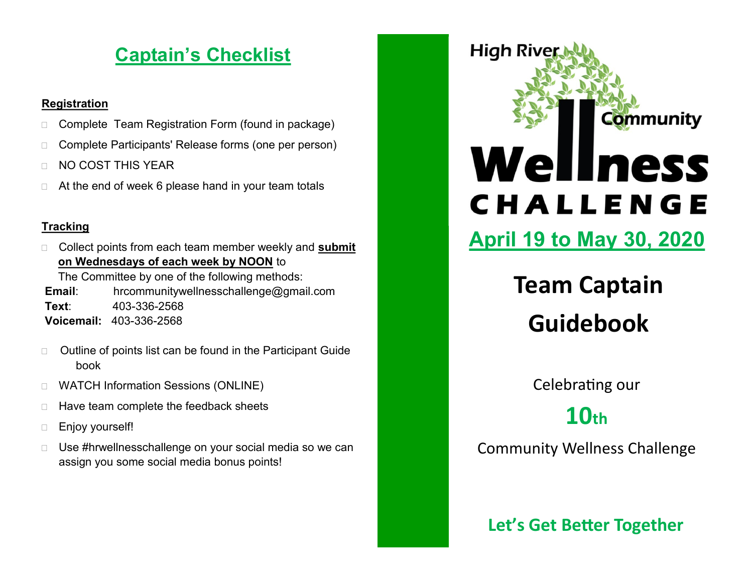### **Captain's Checklist**

#### **Registration**

- □ Complete Team Registration Form (found in package)
- □ Complete Participants' Release forms (one per person)
- **NO COST THIS YEAR**
- $\Box$  At the end of week 6 please hand in your team totals

#### **Tracking**

 Collect points from each team member weekly and **submit on Wednesdays of each week by NOON** to

The Committee by one of the following methods:

**Email**: hrcommunitywellnesschallenge@gmail.com **Text**: 403-336-2568 **Voicemail:** 403-336-2568

- □ Outline of points list can be found in the Participant Guide book
- WATCH Information Sessions (ONLINE)
- $\Box$  Have team complete the feedback sheets
- **Enjoy yourself!**
- □ Use #hrwellnesschallenge on your social media so we can assign you some social media bonus points!

# **High Rive Community** Wellness CHALLENGE

**April 19 to May 30, 2020**

**Team Captain Guidebook**

Celebrating our

**10th** 

Community Wellness Challenge

**Let's Get Better Together**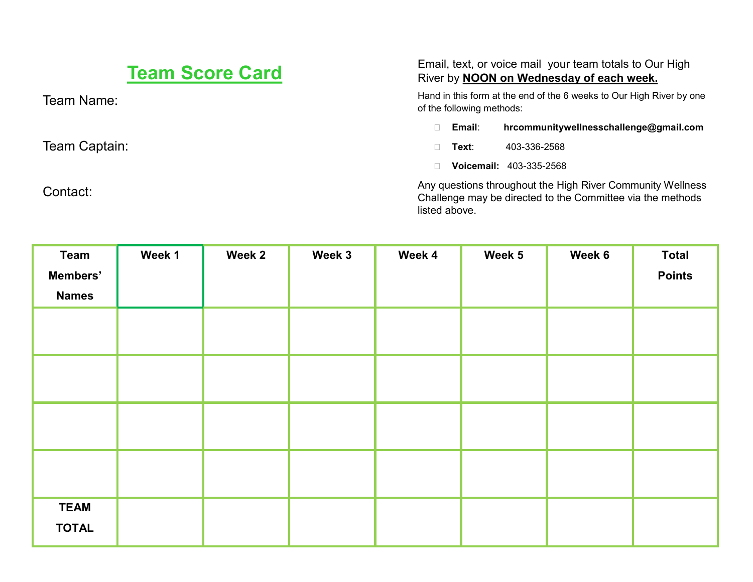| <b>Team Score Card</b> | Email, text, or voice mail your team totals to Our High<br>River by <b>NOON</b> on Wednesday of each week.                                |  |  |
|------------------------|-------------------------------------------------------------------------------------------------------------------------------------------|--|--|
| Team Name:             | Hand in this form at the end of the 6 weeks to Our High River by one<br>of the following methods:                                         |  |  |
|                        | Email:<br>hrcommunitywellnesschallenge@gmail.com                                                                                          |  |  |
| Team Captain:          | 403-336-2568<br>Text∶                                                                                                                     |  |  |
|                        | Voicemail: 403-335-2568                                                                                                                   |  |  |
| Contact:               | Any questions throughout the High River Community Wellness<br>Challenge may be directed to the Committee via the methods<br>listed above. |  |  |

| <b>Team</b>              | Week 1 | Week 2 | Week 3 | Week 4 | Week 5 | Week 6 | <b>Total</b>  |
|--------------------------|--------|--------|--------|--------|--------|--------|---------------|
| Members'<br><b>Names</b> |        |        |        |        |        |        | <b>Points</b> |
|                          |        |        |        |        |        |        |               |
|                          |        |        |        |        |        |        |               |
|                          |        |        |        |        |        |        |               |
|                          |        |        |        |        |        |        |               |
|                          |        |        |        |        |        |        |               |
|                          |        |        |        |        |        |        |               |
|                          |        |        |        |        |        |        |               |
|                          |        |        |        |        |        |        |               |
|                          |        |        |        |        |        |        |               |
| <b>TEAM</b>              |        |        |        |        |        |        |               |
| <b>TOTAL</b>             |        |        |        |        |        |        |               |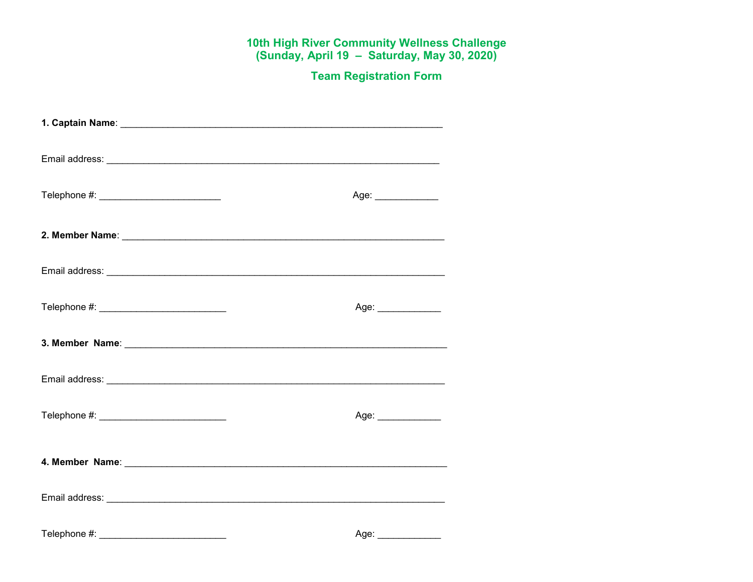## 10th High River Community Wellness Challenge<br>(Sunday, April 19 - Saturday, May 30, 2020)

**Team Registration Form** 

| Telephone #: ____________________________      | Age: ______________  |
|------------------------------------------------|----------------------|
|                                                |                      |
|                                                |                      |
| Telephone #: _________________________________ | Age: _______________ |
|                                                |                      |
|                                                |                      |
| Telephone #: ______________________________    | Age:                 |
|                                                |                      |
|                                                |                      |
| Telephone #: _________________________________ | Age: _______________ |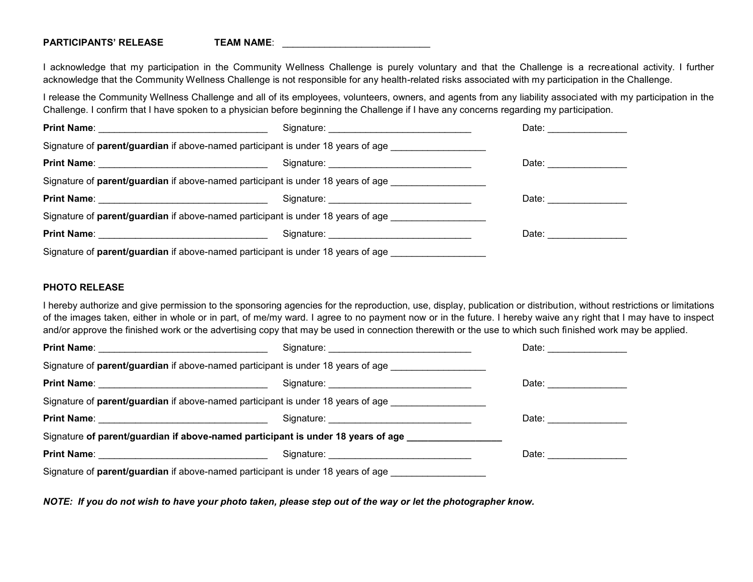#### **PARTICIPANTS' RELEASE TEAM NAME:**

I acknowledge that my participation in the Community Wellness Challenge is purely voluntary and that the Challenge is a recreational activity. I further acknowledge that the Community Wellness Challenge is not responsible for any health-related risks associated with my participation in the Challenge.

I release the Community Wellness Challenge and all of its employees, volunteers, owners, and agents from any liability associated with my participation in the Challenge. I confirm that I have spoken to a physician before beginning the Challenge if I have any concerns regarding my participation.

| Print Name: <u>_________________________________</u>                                    | Signature: <u>Communications</u>              | Date:                                                                                                                                                                                                                          |
|-----------------------------------------------------------------------------------------|-----------------------------------------------|--------------------------------------------------------------------------------------------------------------------------------------------------------------------------------------------------------------------------------|
| Signature of <b>parent/guardian</b> if above-named participant is under 18 years of age |                                               |                                                                                                                                                                                                                                |
|                                                                                         | Signature: __________________________________ | Date: ______________                                                                                                                                                                                                           |
| Signature of <b>parent/guardian</b> if above-named participant is under 18 years of age |                                               |                                                                                                                                                                                                                                |
| Print Name: <u>December 2008</u>                                                        | Signature: <u>Communications</u>              | Date: the contract of the contract of the contract of the contract of the contract of the contract of the contract of the contract of the contract of the contract of the contract of the contract of the contract of the cont |
| Signature of <b>parent/guardian</b> if above-named participant is under 18 years of age |                                               |                                                                                                                                                                                                                                |
|                                                                                         |                                               | Date: <u>_________</u>                                                                                                                                                                                                         |
| Signature of parent/guardian if above-named participant is under 18 years of age        |                                               |                                                                                                                                                                                                                                |

#### **PHOTO RELEASE**

I hereby authorize and give permission to the sponsoring agencies for the reproduction, use, display, publication or distribution, without restrictions or limitations of the images taken, either in whole or in part, of me/my ward. I agree to no payment now or in the future. I hereby waive any right that I may have to inspect and/or approve the finished work or the advertising copy that may be used in connection therewith or the use to which such finished work may be applied.

|                                                                                                                                                                                                                                      |                                                                                         | Date: <b>Date:</b>                                                                                                                                                                                                             |
|--------------------------------------------------------------------------------------------------------------------------------------------------------------------------------------------------------------------------------------|-----------------------------------------------------------------------------------------|--------------------------------------------------------------------------------------------------------------------------------------------------------------------------------------------------------------------------------|
|                                                                                                                                                                                                                                      | Signature of parent/guardian if above-named participant is under 18 years of age        |                                                                                                                                                                                                                                |
|                                                                                                                                                                                                                                      |                                                                                         | Date: the contract of the contract of the contract of the contract of the contract of the contract of the contract of the contract of the contract of the contract of the contract of the contract of the contract of the cont |
|                                                                                                                                                                                                                                      | Signature of <b>parent/guardian</b> if above-named participant is under 18 years of age |                                                                                                                                                                                                                                |
|                                                                                                                                                                                                                                      |                                                                                         | Date: <u>_____________</u>                                                                                                                                                                                                     |
|                                                                                                                                                                                                                                      | Signature of parent/guardian if above-named participant is under 18 years of age        |                                                                                                                                                                                                                                |
| Print Name: <u>New York: Name: New York: Name: New York: Name: New York: Name: New York: New York: New York: New York: New York: New York: New York: New York: New York: New York: New York: New York: New York: New York: New Y</u> | Signature: Signature:                                                                   | Date: <b>Date:</b>                                                                                                                                                                                                             |
|                                                                                                                                                                                                                                      | Signature of parent/guardian if above-named participant is under 18 years of age        |                                                                                                                                                                                                                                |

*NOTE: If you do not wish to have your photo taken, please step out of the way or let the photographer know.*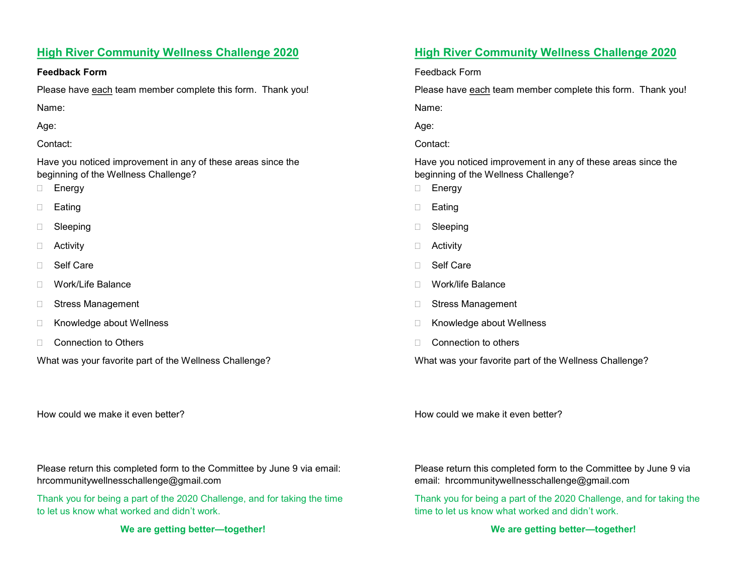#### **High River Community Wellness Challenge 2020**

#### **Feedback Form**

Please have each team member complete this form. Thank you!

Name:

Age:

#### Contact:

Have you noticed improvement in any of these areas since the beginning of the Wellness Challenge?

- **Energy**
- Eating
- □ Sleeping
- **D** Activity
- □ Self Care
- Work/Life Balance
- □ Stress Management
- □ Knowledge about Wellness
- □ Connection to Others
- What was your favorite part of the Wellness Challenge?

How could we make it even better?

Please return this completed form to the Committee by June 9 via email: hrcommunitywellnesschallenge@gmail.com

Thank you for being a part of the 2020 Challenge, and for taking the time to let us know what worked and didn't work.

**We are getting better—together!**

#### **High River Community Wellness Challenge 2020**

Feedback Form

Please have each team member complete this form. Thank you!

Name:

Age:

Contact:

Have you noticed improvement in any of these areas since the beginning of the Wellness Challenge?

- **Energy**
- □ Eating
- □ Sleeping
- □ Activity
- □ Self Care
- Work/life Balance
- □ Stress Management
- □ Knowledge about Wellness
- □ Connection to others

What was your favorite part of the Wellness Challenge?

How could we make it even better?

Please return this completed form to the Committee by June 9 via email: hrcommunitywellnesschallenge@gmail.com

Thank you for being a part of the 2020 Challenge, and for taking the time to let us know what worked and didn't work.

**We are getting better—together!**